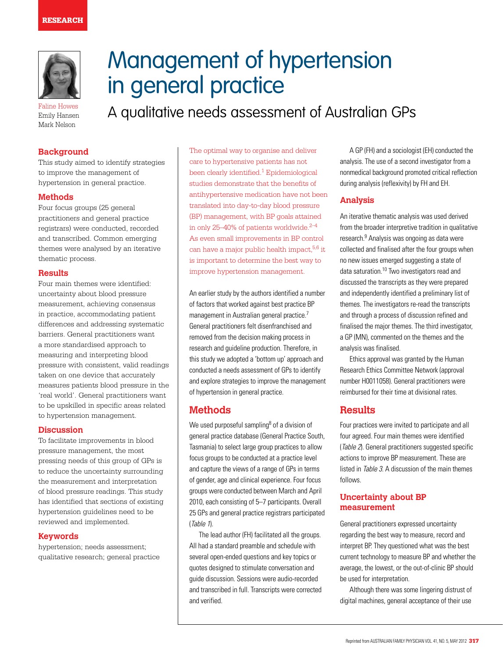

Faline Howes Emily Hansen Mark Nelson

# Management of hypertension in general practice

A qualitative needs assessment of Australian GPs

# **Background**

This study aimed to identify strategies to improve the management of hypertension in general practice.

# **Methods**

Four focus groups (25 general practitioners and general practice registrars) were conducted, recorded and transcribed. Common emerging themes were analysed by an iterative thematic process.

# **Results**

Four main themes were identified: uncertainty about blood pressure measurement, achieving consensus in practice, accommodating patient differences and addressing systematic barriers. General practitioners want a more standardised approach to measuring and interpreting blood pressure with consistent, valid readings taken on one device that accurately measures patients blood pressure in the 'real world'. General practitioners want to be upskilled in specific areas related to hypertension management.

# **Discussion**

To facilitate improvements in blood pressure management, the most pressing needs of this group of GPs is to reduce the uncertainty surrounding the measurement and interpretation of blood pressure readings. This study has identified that sections of existing hypertension guidelines need to be reviewed and implemented.

# **Keywords**

hypertension; needs assessment; qualitative research; general practice The optimal way to organise and deliver care to hypertensive patients has not been clearly identified.<sup>1</sup> Epidemiological studies demonstrate that the benefits of antihypertensive medication have not been translated into day-to-day blood pressure (BP) management, with BP goals attained in only 25–40% of patients worldwide. $2-4$ As even small improvements in BP control can have a major public health impact,  $5,6$  it is important to determine the best way to improve hypertension management.

An earlier study by the authors identified a number of factors that worked against best practice BP management in Australian general practice.<sup>7</sup> General practitioners felt disenfranchised and removed from the decision making process in research and guideline production. Therefore, in this study we adopted a 'bottom up' approach and conducted a needs assessment of GPs to identify and explore strategies to improve the management of hypertension in general practice.

# **Methods**

We used purposeful sampling<sup>8</sup> of a division of general practice database (General Practice South, Tasmania) to select large group practices to allow focus groups to be conducted at a practice level and capture the views of a range of GPs in terms of gender, age and clinical experience. Four focus groups were conducted between March and April 2010, each consisting of 5–7 participants. Overall 25 GPs and general practice registrars participated (Table 1).

The lead author (FH) facilitated all the groups. All had a standard preamble and schedule with several open-ended questions and key topics or quotes designed to stimulate conversation and guide discussion. Sessions were audio-recorded and transcribed in full. Transcripts were corrected and verified.

A GP (FH) and a sociologist (EH) conducted the analysis. The use of a second investigator from a nonmedical background promoted critical reflection during analysis (reflexivity) by FH and EH.

# **Analysis**

An iterative thematic analysis was used derived from the broader interpretive tradition in qualitative research.9 Analysis was ongoing as data were collected and finalised after the four groups when no new issues emerged suggesting a state of data saturation.10 Two investigators read and discussed the transcripts as they were prepared and independently identified a preliminary list of themes. The investigators re-read the transcripts and through a process of discussion refined and finalised the major themes. The third investigator, a GP (MN), commented on the themes and the analysis was finalised.

Ethics approval was granted by the Human Research Ethics Committee Network (approval number H0011058). General practitioners were reimbursed for their time at divisional rates.

# **Results**

Four practices were invited to participate and all four agreed. Four main themes were identified (Table 2). General practitioners suggested specific actions to improve BP measurement. These are listed in Table 3. A discussion of the main themes follows.

# **Uncertainty about BP measurement**

General practitioners expressed uncertainty regarding the best way to measure, record and interpret BP. They questioned what was the best current technology to measure BP and whether the average, the lowest, or the out-of-clinic BP should be used for interpretation.

Although there was some lingering distrust of digital machines, general acceptance of their use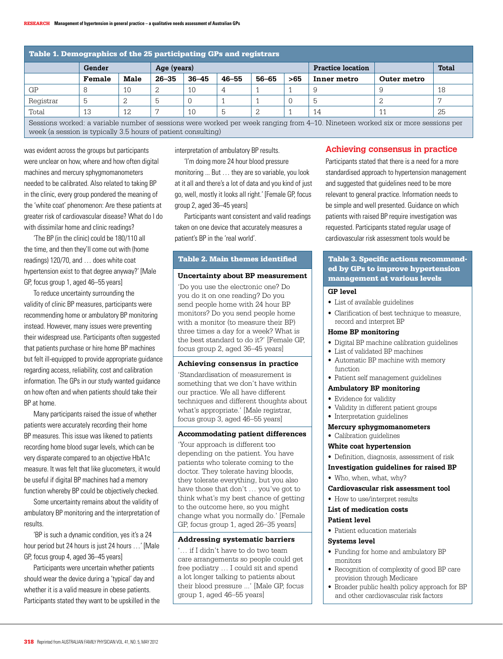| Table 1. Demographics of the 25 participating GPs and registrars                                                                |        |      |             |           |           |       |     |                          |             |              |
|---------------------------------------------------------------------------------------------------------------------------------|--------|------|-------------|-----------|-----------|-------|-----|--------------------------|-------------|--------------|
|                                                                                                                                 | Gender |      | Age (years) |           |           |       |     | <b>Practice location</b> |             | <b>Total</b> |
|                                                                                                                                 | Female | Male | $26 - 35$   | $36 - 45$ | $46 - 55$ | 56-65 | >65 | Inner metro              | Outer metro |              |
| GP                                                                                                                              |        | 10   |             | 10        |           |       |     | 9                        |             | 18           |
| Registrar                                                                                                                       |        |      | 5           |           |           |       |     | b                        |             |              |
| Total                                                                                                                           | 13     | 12   |             | 10        | ხ         |       |     | 14                       |             | 25           |
| Sessions worked: a variable number of sessions were worked per week ranging from 4–10. Nineteen worked six or more sessions per |        |      |             |           |           |       |     |                          |             |              |

week (a session is typically 3.5 hours of patient consulting)

was evident across the groups but participants were unclear on how, where and how often digital machines and mercury sphygmomanometers needed to be calibrated. Also related to taking BP in the clinic, every group pondered the meaning of the 'white coat' phenomenon: Are these patients at greater risk of cardiovascular disease? What do I do with dissimilar home and clinic readings?

'The BP (in the clinic) could be 180/110 all the time, and then they'll come out with (home readings) 120/70, and … does white coat hypertension exist to that degree anyway?' [Male GP, focus group 1, aged 46–55 years]

To reduce uncertainty surrounding the validity of clinic BP measures, participants were recommending home or ambulatory BP monitoring instead. However, many issues were preventing their widespread use. Participants often suggested that patients purchase or hire home BP machines but felt ill-equipped to provide appropriate guidance regarding access, reliability, cost and calibration information. The GPs in our study wanted guidance on how often and when patients should take their BP at home.

Many participants raised the issue of whether patients were accurately recording their home BP measures. This issue was likened to patients recording home blood sugar levels, which can be very disparate compared to an objective HbA1c measure. It was felt that like glucometers, it would be useful if digital BP machines had a memory function whereby BP could be objectively checked.

Some uncertainty remains about the validity of ambulatory BP monitoring and the interpretation of results.

'BP is such a dynamic condition, yes it's a 24 hour period but 24 hours is just 24 hours …' [Male GP, focus group 4, aged 36–45 years]

Participants were uncertain whether patients should wear the device during a 'typical' day and whether it is a valid measure in obese patients. Participants stated they want to be upskilled in the interpretation of ambulatory BP results.

'I'm doing more 24 hour blood pressure monitoring ... But … they are so variable, you look at it all and there's a lot of data and you kind of just go, well, mostly it looks all right.' [Female GP, focus group 2, aged 36–45 years]

Participants want consistent and valid readings taken on one device that accurately measures a patient's BP in the 'real world'.

# Table 2. Main themes identified

#### **Uncertainty about BP measurement**

'Do you use the electronic one? Do you do it on one reading? Do you send people home with 24 hour BP monitors? Do you send people home with a monitor (to measure their BP) three times a day for a week? What is the best standard to do it?' [Female GP, focus group 2, aged 36–45 years]

#### **Achieving consensus in practice**

'Standardisation of measurement is something that we don't have within our practice. We all have different techniques and different thoughts about what's appropriate.' [Male registrar, focus group 3, aged 46–55 years]

#### **Accommodating patient differences**

'Your approach is different too depending on the patient. You have patients who tolerate coming to the doctor. They tolerate having bloods, they tolerate everything, but you also have those that don't … you've got to think what's my best chance of getting to the outcome here, so you might change what you normally do.' [Female GP, focus group 1, aged 26–35 years]

#### **Addressing systematic barriers**

'… if I didn't have to do two team care arrangements so people could get free podiatry … I could sit and spend a lot longer talking to patients about their blood pressure ...' [Male GP, focus group 1, aged 46–55 years]

# **Achieving consensus in practice**

Participants stated that there is a need for a more standardised approach to hypertension management and suggested that guidelines need to be more relevant to general practice. Information needs to be simple and well presented. Guidance on which patients with raised BP require investigation was requested. Participants stated regular usage of cardiovascular risk assessment tools would be

## Table 3. Specific actions recommended by GPs to improve hypertension management at various levels

#### **GP level**

- • List of available guidelines
- • Clarification of best technique to measure, record and interpret BP

#### **Home BP monitoring**

- • Digital BP machine calibration guidelines
- List of validated BP machines
- Automatic BP machine with memory function
- Patient self management quidelines

#### **Ambulatory BP monitoring**

- Evidence for validity
- • Validity in different patient groups
- Interpretation guidelines

#### **Mercury sphygmomanometers**

• Calibration guidelines

#### **White coat hypertension**

- • Definition, diagnosis, assessment of risk
- **Investigation guidelines for raised BP**
- Who, when, what, why?

#### **Cardiovascular risk assessment tool**

• How to use/interpret results

#### **List of medication costs**

#### **Patient level**

• Patient education materials

#### **Systems level**

- Funding for home and ambulatory BP monitors
- Recognition of complexity of good BP care provision through Medicare
- Broader public health policy approach for BP and other cardiovascular risk factors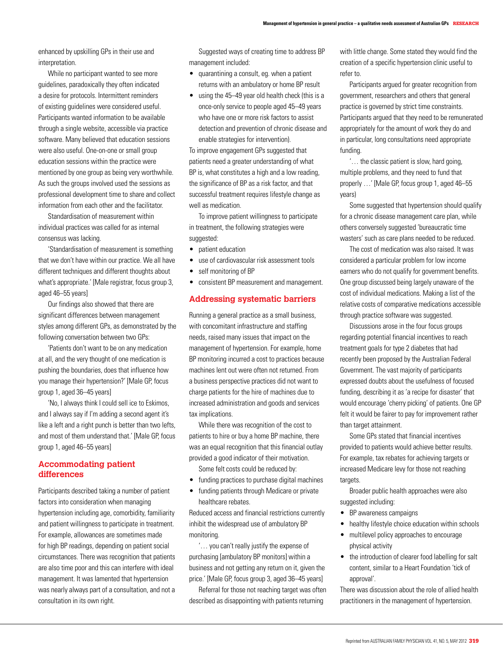enhanced by upskilling GPs in their use and interpretation.

While no participant wanted to see more guidelines, paradoxically they often indicated a desire for protocols. Intermittent reminders of existing guidelines were considered useful. Participants wanted information to be available through a single website, accessible via practice software. Many believed that education sessions were also useful. One-on-one or small group education sessions within the practice were mentioned by one group as being very worthwhile. As such the groups involved used the sessions as professional development time to share and collect information from each other and the facilitator.

Standardisation of measurement within individual practices was called for as internal consensus was lacking.

'Standardisation of measurement is something that we don't have within our practice. We all have different techniques and different thoughts about what's appropriate.' [Male registrar, focus group 3, aged 46–55 years]

Our findings also showed that there are significant differences between management styles among different GPs, as demonstrated by the following conversation between two GPs:

'Patients don't want to be on any medication at all, and the very thought of one medication is pushing the boundaries, does that influence how you manage their hypertension?' [Male GP, focus group 1, aged 36–45 years]

'No, I always think I could sell ice to Eskimos, and I always say if I'm adding a second agent it's like a left and a right punch is better than two lefts, and most of them understand that.' [Male GP, focus group 1, aged 46–55 years]

# **Accommodating patient differences**

Participants described taking a number of patient factors into consideration when managing hypertension including age, comorbidity, familiarity and patient willingness to participate in treatment. For example, allowances are sometimes made for high BP readings, depending on patient social circumstances. There was recognition that patients are also time poor and this can interfere with ideal management. It was lamented that hypertension was nearly always part of a consultation, and not a consultation in its own right.

Suggested ways of creating time to address BP management included:

- • quarantining a consult, eg. when a patient returns with an ambulatory or home BP result
- using the 45–49 year old health check (this is a once-only service to people aged 45–49 years who have one or more risk factors to assist detection and prevention of chronic disease and enable strategies for intervention).

To improve engagement GPs suggested that patients need a greater understanding of what BP is, what constitutes a high and a low reading, the significance of BP as a risk factor, and that successful treatment requires lifestyle change as well as medication.

To improve patient willingness to participate in treatment, the following strategies were suggested:

- natient education
- • use of cardiovascular risk assessment tools
- self monitoring of BP
- • consistent BP measurement and management.

#### **Addressing systematic barriers**

Running a general practice as a small business, with concomitant infrastructure and staffing needs, raised many issues that impact on the management of hypertension. For example, home BP monitoring incurred a cost to practices because machines lent out were often not returned. From a business perspective practices did not want to charge patients for the hire of machines due to increased administration and goods and services tax implications.

While there was recognition of the cost to patients to hire or buy a home BP machine, there was an equal recognition that this financial outlay provided a good indicator of their motivation.

- Some felt costs could be reduced by:
- funding practices to purchase digital machines
- funding patients through Medicare or private healthcare rebates.

Reduced access and financial restrictions currently inhibit the widespread use of ambulatory BP monitoring.

'… you can't really justify the expense of purchasing [ambulatory BP monitors] within a business and not getting any return on it, given the price.' [Male GP, focus group 3, aged 36–45 years]

Referral for those not reaching target was often described as disappointing with patients returning

with little change. Some stated they would find the creation of a specific hypertension clinic useful to refer to.

Participants argued for greater recognition from government, researchers and others that general practice is governed by strict time constraints. Participants argued that they need to be remunerated appropriately for the amount of work they do and in particular, long consultations need appropriate funding.

'… the classic patient is slow, hard going, multiple problems, and they need to fund that properly …' [Male GP, focus group 1, aged 46–55 years)

Some suggested that hypertension should qualify for a chronic disease management care plan, while others conversely suggested 'bureaucratic time wasters' such as care plans needed to be reduced.

The cost of medication was also raised. It was considered a particular problem for low income earners who do not qualify for government benefits. One group discussed being largely unaware of the cost of individual medications. Making a list of the relative costs of comparative medications accessible through practice software was suggested.

Discussions arose in the four focus groups regarding potential financial incentives to reach treatment goals for type 2 diabetes that had recently been proposed by the Australian Federal Government. The vast majority of participants expressed doubts about the usefulness of focused funding, describing it as 'a recipe for disaster' that would encourage 'cherry picking' of patients. One GP felt it would be fairer to pay for improvement rather than target attainment.

Some GPs stated that financial incentives provided to patients would achieve better results. For example, tax rebates for achieving targets or increased Medicare levy for those not reaching targets.

Broader public health approaches were also suggested including:

- BP awareness campaigns
- healthy lifestyle choice education within schools
- multilevel policy approaches to encourage physical activity
- the introduction of clearer food labelling for salt content, similar to a Heart Foundation 'tick of approval'.

There was discussion about the role of allied health practitioners in the management of hypertension.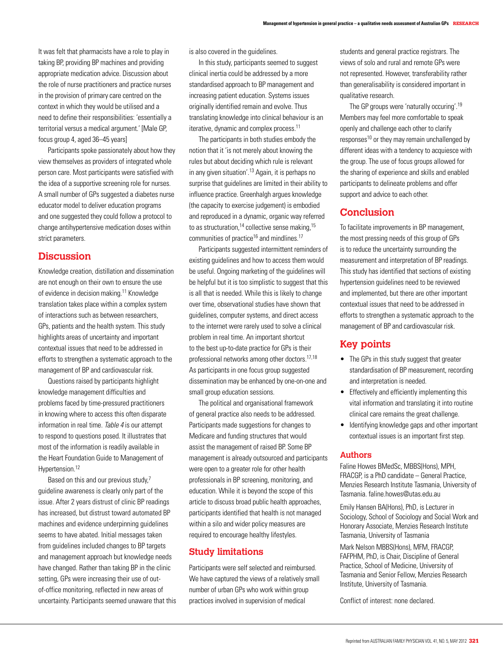It was felt that pharmacists have a role to play in taking BP, providing BP machines and providing appropriate medication advice. Discussion about the role of nurse practitioners and practice nurses in the provision of primary care centred on the context in which they would be utilised and a need to define their responsibilities: 'essentially a territorial versus a medical argument.' [Male GP, focus group 4, aged 36–45 years]

Participants spoke passionately about how they view themselves as providers of integrated whole person care. Most participants were satisfied with the idea of a supportive screening role for nurses. A small number of GPs suggested a diabetes nurse educator model to deliver education programs and one suggested they could follow a protocol to change antihypertensive medication doses within strict parameters.

# **Discussion**

Knowledge creation, distillation and dissemination are not enough on their own to ensure the use of evidence in decision making.<sup>11</sup> Knowledge translation takes place within a complex system of interactions such as between researchers, GPs, patients and the health system. This study highlights areas of uncertainty and important contextual issues that need to be addressed in efforts to strengthen a systematic approach to the management of BP and cardiovascular risk.

Questions raised by participants highlight knowledge management difficulties and problems faced by time-pressured practitioners in knowing where to access this often disparate information in real time. Table 4 is our attempt to respond to questions posed. It illustrates that most of the information is readily available in the Heart Foundation Guide to Management of Hypertension.<sup>12</sup>

Based on this and our previous study,<sup>7</sup> guideline awareness is clearly only part of the issue. After 2 years distrust of clinic BP readings has increased, but distrust toward automated BP machines and evidence underpinning guidelines seems to have abated. Initial messages taken from guidelines included changes to BP targets and management approach but knowledge needs have changed. Rather than taking BP in the clinic setting, GPs were increasing their use of outof-office monitoring, reflected in new areas of uncertainty. Participants seemed unaware that this is also covered in the guidelines.

In this study, participants seemed to suggest clinical inertia could be addressed by a more standardised approach to BP management and increasing patient education. Systems issues originally identified remain and evolve. Thus translating knowledge into clinical behaviour is an iterative, dynamic and complex process.<sup>11</sup>

The participants in both studies embody the notion that it 'is not merely about knowing the rules but about deciding which rule is relevant in any given situation'.<sup>13</sup> Again, it is perhaps no surprise that guidelines are limited in their ability to influence practice. Greenhalgh argues knowledge (the capacity to exercise judgement) is embodied and reproduced in a dynamic, organic way referred to as structuration,<sup>14</sup> collective sense making, $15$ communities of practice<sup>16</sup> and mindlines.<sup>17</sup>

Participants suggested intermittent reminders of existing guidelines and how to access them would be useful. Ongoing marketing of the guidelines will be helpful but it is too simplistic to suggest that this is all that is needed. While this is likely to change over time, observational studies have shown that guidelines, computer systems, and direct access to the internet were rarely used to solve a clinical problem in real time. An important shortcut to the best up-to-date practice for GPs is their professional networks among other doctors.17,18 As participants in one focus group suggested dissemination may be enhanced by one-on-one and small group education sessions.

The political and organisational framework of general practice also needs to be addressed. Participants made suggestions for changes to Medicare and funding structures that would assist the management of raised BP. Some BP management is already outsourced and participants were open to a greater role for other health professionals in BP screening, monitoring, and education. While it is beyond the scope of this article to discuss broad public health approaches, participants identified that health is not managed within a silo and wider policy measures are required to encourage healthy lifestyles.

# **Study limitations**

Participants were self selected and reimbursed. We have captured the views of a relatively small number of urban GPs who work within group practices involved in supervision of medical

students and general practice registrars. The views of solo and rural and remote GPs were not represented. However, transferability rather than generalisability is considered important in qualitative research.

The GP groups were 'naturally occuring'.19 Members may feel more comfortable to speak openly and challenge each other to clarify responses $10$  or they may remain unchallenged by different ideas with a tendency to acquiesce with the group. The use of focus groups allowed for the sharing of experience and skills and enabled participants to delineate problems and offer support and advice to each other.

# **Conclusion**

To facilitate improvements in BP management, the most pressing needs of this group of GPs is to reduce the uncertainty surrounding the measurement and interpretation of BP readings. This study has identified that sections of existing hypertension guidelines need to be reviewed and implemented, but there are other important contextual issues that need to be addressed in efforts to strengthen a systematic approach to the management of BP and cardiovascular risk.

# **Key points**

- The GPs in this study suggest that greater standardisation of BP measurement, recording and interpretation is needed.
- Effectively and efficiently implementing this vital information and translating it into routine clinical care remains the great challenge.
- Identifying knowledge gaps and other important contextual issues is an important first step.

## **Authors**

Faline Howes BMedSc, MBBS(Hons), MPH, FRACGP, is a PhD candidate – General Practice, Menzies Research Institute Tasmania, University of Tasmania. faline.howes@utas.edu.au

Emily Hansen BA(Hons), PhD, is Lecturer in Sociology, School of Sociology and Social Work and Honorary Associate, Menzies Research Institute Tasmania, University of Tasmania

Mark Nelson MBBS(Hons), MFM, FRACGP, FAFPHM, PhD, is Chair, Discipline of General Practice, School of Medicine, University of Tasmania and Senior Fellow, Menzies Research Institute, University of Tasmania.

Conflict of interest: none declared.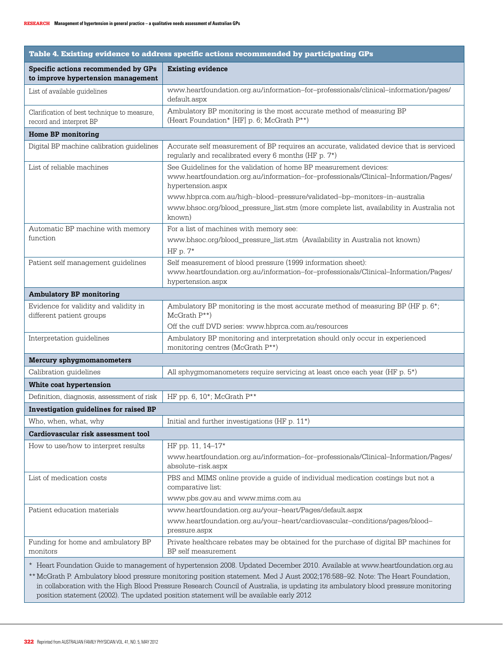| Table 4. Existing evidence to address specific actions recommended by participating GPs                                                                                                                                                                                                                                                                                                                                                                                                      |                                                                                                                                                                                |  |  |  |  |  |  |
|----------------------------------------------------------------------------------------------------------------------------------------------------------------------------------------------------------------------------------------------------------------------------------------------------------------------------------------------------------------------------------------------------------------------------------------------------------------------------------------------|--------------------------------------------------------------------------------------------------------------------------------------------------------------------------------|--|--|--|--|--|--|
| Specific actions recommended by GPs<br>to improve hypertension management                                                                                                                                                                                                                                                                                                                                                                                                                    | <b>Existing evidence</b>                                                                                                                                                       |  |  |  |  |  |  |
| List of available guidelines                                                                                                                                                                                                                                                                                                                                                                                                                                                                 | www.heartfoundation.org.au/information-for-professionals/clinical-information/pages/<br>default.aspx                                                                           |  |  |  |  |  |  |
| Clarification of best technique to measure,<br>record and interpret BP                                                                                                                                                                                                                                                                                                                                                                                                                       | Ambulatory BP monitoring is the most accurate method of measuring BP<br>(Heart Foundation* [HF] p. 6; McGrath P**)                                                             |  |  |  |  |  |  |
| Home BP monitoring                                                                                                                                                                                                                                                                                                                                                                                                                                                                           |                                                                                                                                                                                |  |  |  |  |  |  |
| Digital BP machine calibration guidelines                                                                                                                                                                                                                                                                                                                                                                                                                                                    | Accurate self measurement of BP requires an accurate, validated device that is serviced<br>regularly and recalibrated every 6 months (HF p. 7*)                                |  |  |  |  |  |  |
| List of reliable machines                                                                                                                                                                                                                                                                                                                                                                                                                                                                    | See Guidelines for the validation of home BP measurement devices:<br>www.heartfoundation.org.au/information-for-professionals/Clinical-Information/Pages/<br>hypertension.aspx |  |  |  |  |  |  |
|                                                                                                                                                                                                                                                                                                                                                                                                                                                                                              | www.hbprca.com.au/high-blood-pressure/validated-bp-monitors-in-australia<br>www.bhsoc.org/blood_pressure_list.stm (more complete list, availability in Australia not<br>known) |  |  |  |  |  |  |
| Automatic BP machine with memory<br>function                                                                                                                                                                                                                                                                                                                                                                                                                                                 | For a list of machines with memory see:<br>www.bhsoc.org/blood_pressure_list.stm (Availability in Australia not known)<br>HF p. $7*$                                           |  |  |  |  |  |  |
| Patient self management guidelines                                                                                                                                                                                                                                                                                                                                                                                                                                                           | Self measurement of blood pressure (1999 information sheet):<br>www.heartfoundation.org.au/information-for-professionals/Clinical-Information/Pages/<br>hypertension.aspx      |  |  |  |  |  |  |
| <b>Ambulatory BP monitoring</b>                                                                                                                                                                                                                                                                                                                                                                                                                                                              |                                                                                                                                                                                |  |  |  |  |  |  |
| Evidence for validity and validity in<br>different patient groups                                                                                                                                                                                                                                                                                                                                                                                                                            | Ambulatory BP monitoring is the most accurate method of measuring BP (HF p. 6*;<br>$McGrath P^{**}$                                                                            |  |  |  |  |  |  |
|                                                                                                                                                                                                                                                                                                                                                                                                                                                                                              | Off the cuff DVD series: www.hbprca.com.au/resources                                                                                                                           |  |  |  |  |  |  |
| Interpretation guidelines                                                                                                                                                                                                                                                                                                                                                                                                                                                                    | Ambulatory BP monitoring and interpretation should only occur in experienced<br>monitoring centres (McGrath P**)                                                               |  |  |  |  |  |  |
| <b>Mercury sphygmomanometers</b>                                                                                                                                                                                                                                                                                                                                                                                                                                                             |                                                                                                                                                                                |  |  |  |  |  |  |
| Calibration guidelines                                                                                                                                                                                                                                                                                                                                                                                                                                                                       | All sphygmomanometers require servicing at least once each year (HF p. 5*)                                                                                                     |  |  |  |  |  |  |
| White coat hypertension                                                                                                                                                                                                                                                                                                                                                                                                                                                                      |                                                                                                                                                                                |  |  |  |  |  |  |
| Definition, diagnosis, assessment of risk                                                                                                                                                                                                                                                                                                                                                                                                                                                    | HF pp. 6, $10^*$ ; McGrath $P^{**}$                                                                                                                                            |  |  |  |  |  |  |
| Investigation guidelines for raised BP                                                                                                                                                                                                                                                                                                                                                                                                                                                       |                                                                                                                                                                                |  |  |  |  |  |  |
| Who, when, what, why                                                                                                                                                                                                                                                                                                                                                                                                                                                                         | Initial and further investigations (HF $p. 11*$ )                                                                                                                              |  |  |  |  |  |  |
| Cardiovascular risk assessment tool                                                                                                                                                                                                                                                                                                                                                                                                                                                          |                                                                                                                                                                                |  |  |  |  |  |  |
| How to use/how to interpret results                                                                                                                                                                                                                                                                                                                                                                                                                                                          | HF pp. 11, 14-17*<br>www.heartfoundation.org.au/information-for-professionals/Clinical-Information/Pages/<br>absolute-risk.aspx                                                |  |  |  |  |  |  |
| List of medication costs                                                                                                                                                                                                                                                                                                                                                                                                                                                                     | PBS and MIMS online provide a guide of individual medication costings but not a<br>comparative list:                                                                           |  |  |  |  |  |  |
|                                                                                                                                                                                                                                                                                                                                                                                                                                                                                              | www.pbs.gov.au and www.mims.com.au                                                                                                                                             |  |  |  |  |  |  |
| Patient education materials                                                                                                                                                                                                                                                                                                                                                                                                                                                                  | www.heartfoundation.org.au/your-heart/Pages/default.aspx<br>www.heartfoundation.org.au/your-heart/cardiovascular-conditions/pages/blood-<br>pressure.aspx                      |  |  |  |  |  |  |
| Funding for home and ambulatory BP<br>monitors                                                                                                                                                                                                                                                                                                                                                                                                                                               | Private healthcare rebates may be obtained for the purchase of digital BP machines for<br>BP self measurement                                                                  |  |  |  |  |  |  |
| * Heart Foundation Guide to management of hypertension 2008. Updated December 2010. Available at www.heartfoundation.org.au<br>** McGrath P. Ambulatory blood pressure monitoring position statement. Med J Aust 2002;176:588-92. Note: The Heart Foundation,<br>in collaboration with the High Blood Pressure Research Council of Australia, is updating its ambulatory blood pressure monitoring<br>position statement (2002). The updated position statement will be available early 2012 |                                                                                                                                                                                |  |  |  |  |  |  |